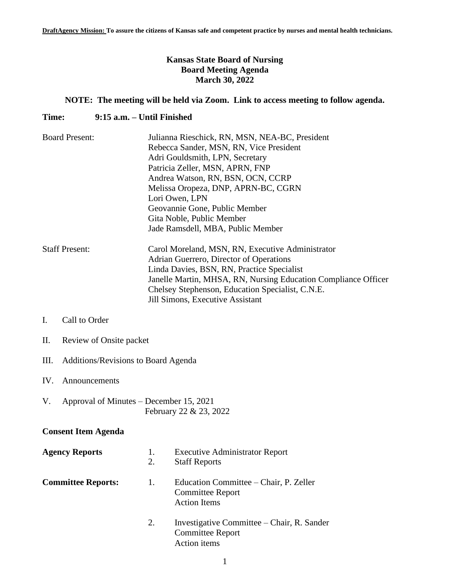# **Kansas State Board of Nursing Board Meeting Agenda March 30, 2022**

# **NOTE: The meeting will be held via Zoom. Link to access meeting to follow agenda.**

### **Time: 9:15 a.m. – Until Finished**

| <b>Board Present:</b> | Julianna Rieschick, RN, MSN, NEA-BC, President                 |  |  |
|-----------------------|----------------------------------------------------------------|--|--|
|                       | Rebecca Sander, MSN, RN, Vice President                        |  |  |
|                       | Adri Gouldsmith, LPN, Secretary                                |  |  |
|                       | Patricia Zeller, MSN, APRN, FNP                                |  |  |
|                       | Andrea Watson, RN, BSN, OCN, CCRP                              |  |  |
|                       | Melissa Oropeza, DNP, APRN-BC, CGRN                            |  |  |
|                       | Lori Owen, LPN                                                 |  |  |
|                       | Geovannie Gone, Public Member                                  |  |  |
|                       | Gita Noble, Public Member                                      |  |  |
|                       | Jade Ramsdell, MBA, Public Member                              |  |  |
| <b>Staff Present:</b> | Carol Moreland, MSN, RN, Executive Administrator               |  |  |
|                       | Adrian Guerrero, Director of Operations                        |  |  |
|                       | Linda Davies, BSN, RN, Practice Specialist                     |  |  |
|                       | Janelle Martin, MHSA, RN, Nursing Education Compliance Officer |  |  |
|                       | Chelsey Stephenson, Education Specialist, C.N.E.               |  |  |
|                       | Jill Simons, Executive Assistant                               |  |  |

# I. Call to Order

- II. Review of Onsite packet
- III. Additions/Revisions to Board Agenda

### IV. Announcements

V. Approval of Minutes – December 15, 2021 February 22 & 23, 2022

# **Consent Item Agenda**

| <b>Agency Reports</b>     | 1.<br>2. | <b>Executive Administrator Report</b><br><b>Staff Reports</b>                            |
|---------------------------|----------|------------------------------------------------------------------------------------------|
| <b>Committee Reports:</b> | 1.       | Education Committee – Chair, P. Zeller<br><b>Committee Report</b><br><b>Action Items</b> |
|                           | 2.       | Investigative Committee – Chair, R. Sander<br><b>Committee Report</b><br>Action items    |